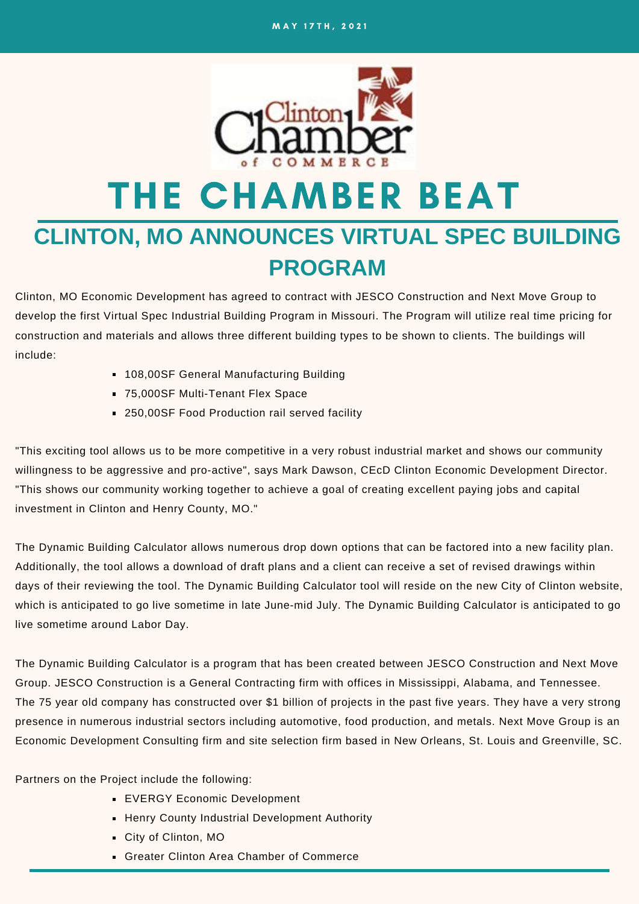

# THE CHAMBER BEAT

### **CLINTON, MO ANNOUNCES VIRTUAL SPEC BUILDING PROGRAM**

Clinton, MO Economic Development has agreed to contract with JESCO Construction and Next Move Group to develop the first Virtual Spec Industrial Building Program in Missouri. The Program will utilize real time pricing for construction and materials and allows three different building types to be shown to clients. The buildings will include:

- **108,00SF General Manufacturing Building**
- 75,000SF Multi-Tenant Flex Space
- 250,00SF Food Production rail served facility

"This exciting tool allows us to be more competitive in a very robust industrial market and shows our community willingness to be aggressive and pro-active", says Mark Dawson, CEcD Clinton Economic Development Director. "This shows our community working together to achieve a goal of creating excellent paying jobs and capital investment in Clinton and Henry County, MO."

The Dynamic Building Calculator allows numerous drop down options that can be factored into a new facility plan. Additionally, the tool allows a download of draft plans and a client can receive a set of revised drawings within days of their reviewing the tool. The Dynamic Building Calculator tool will reside on the new City of Clinton website, which is anticipated to go live sometime in late June-mid July. The Dynamic Building Calculator is anticipated to go live sometime around Labor Day.

The Dynamic Building Calculator is a program that has been created between JESCO Construction and Next Move Group. JESCO Construction is a General Contracting firm with offices in Mississippi, Alabama, and Tennessee. The 75 year old company has constructed over \$1 billion of projects in the past five years. They have a very strong presence in numerous industrial sectors including automotive, food production, and metals. Next Move Group is an Economic Development Consulting firm and site selection firm based in New Orleans, St. Louis and Greenville, SC.

Partners on the Project include the following:

- **EVERGY Economic Development**
- **Henry County Industrial Development Authority**
- City of Clinton, MO
- Greater Clinton Area Chamber of Commerce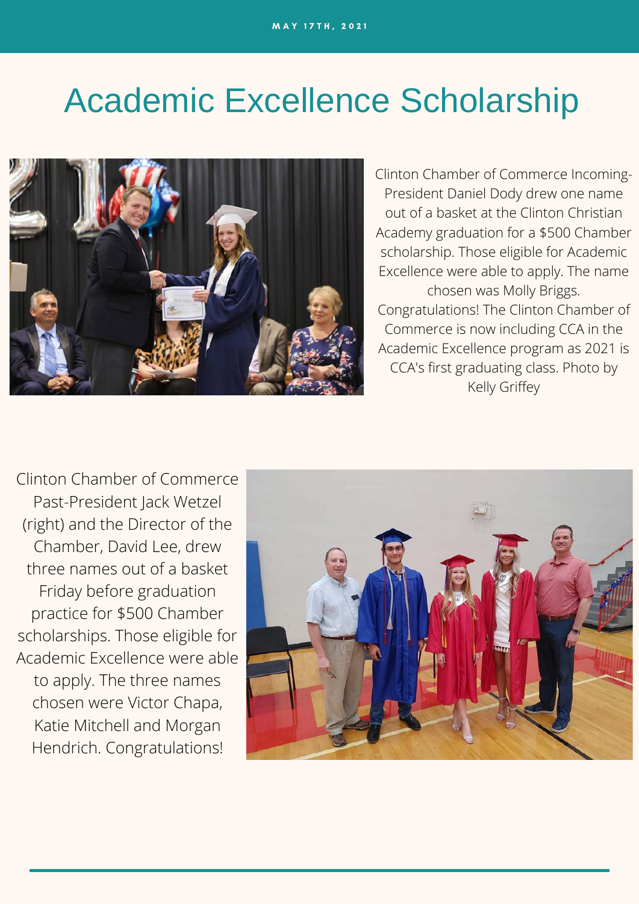## Academic Excellence Scholarship



Clinton Chamber of Commerce Incoming-President Daniel Dody drew one name out of a basket at the Clinton Christian Academy graduation for a \$500 Chamber scholarship. Those eligible for Academic Excellence were able to apply. The name chosen was Molly Briggs. Congratulations! The Clinton Chamber of Commerce is now including CCA in the Academic Excellence program as 2021 is CCA's first graduating class. Photo by Kelly Griffey

Clinton Chamber of Commerce Past-President Jack Wetzel (right) and the Director of the Chamber, David Lee, drew three names out of a basket Friday before graduation practice for \$500 Chamber scholarships. Those eligible for Academic Excellence were able to apply. The three names chosen were Victor Chapa, Katie Mitchell and Morgan Hendrich. Congratulations!

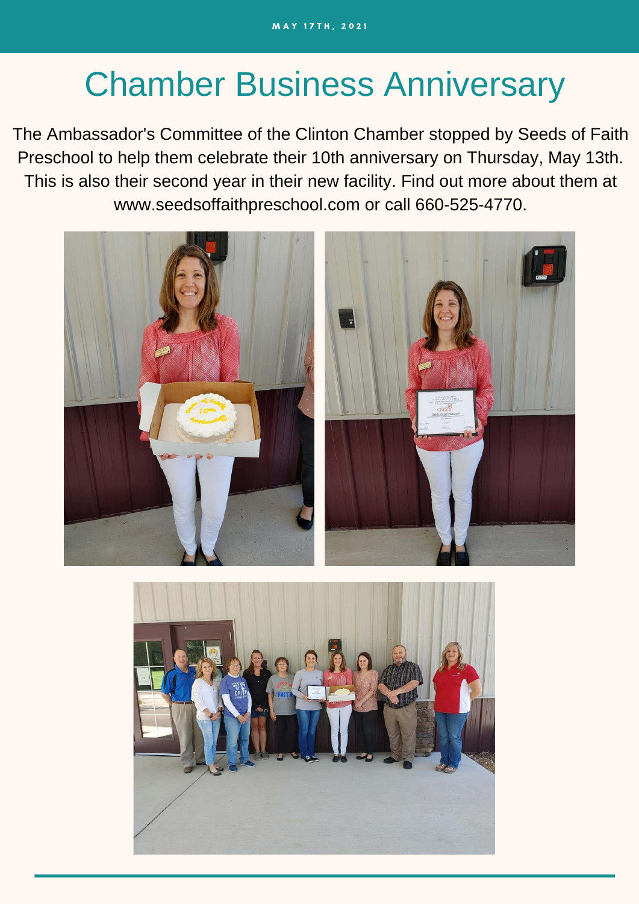## Chamber Business Anniversary

The Ambassador's Committee of the Clinton Chamber stopped by Seeds of Faith Preschool to help them celebrate their 10th anniversary on Thursday, May 13th. This is also their second year in their new facility. Find out more about them at [www.seedsoffaithpreschool.com](https://l.facebook.com/l.php?u=http%3A%2F%2Fwww.seedsoffaithpreschool.com%2F%3Ffbclid%3DIwAR1bpf9Ji3W65_qQ4VSlMmlj_IOUB6I03LkKJk35AHV3haQalOMBJlz4vFE&h=AT30Fi-D7YsJjX4FkLUWJpNoq_0NA7b3l8LuzKAbuBIP6a00zm7qB8OTEVRmK9TgrgDRtuv76-RaVJaIp3e8mS5HByvfhfm7g1u1mbRvS5Vjh7dRmJ_VfI3sB08evPf7-w&__tn__=-UK-R&c[0]=AT2wnRC9CW1W2-cV7nuEyNSYgLkEQnSr6ZdxstARFLHFBT-6M2BrqWrstMWCyr1GPkk-rO3xJP97jKaWE4RpX9Q91LslOjSTwQEkWcPFD3BciFdl9xRNaZMBGuIYwVbaxRBIt2kft4KNsxnmgZ6g1T9dPAiGUt3wr8FwvOLx9LHhiRmqsvbj4SQ7RjsWahoWe7uxPA0) or call 660-525-4770.



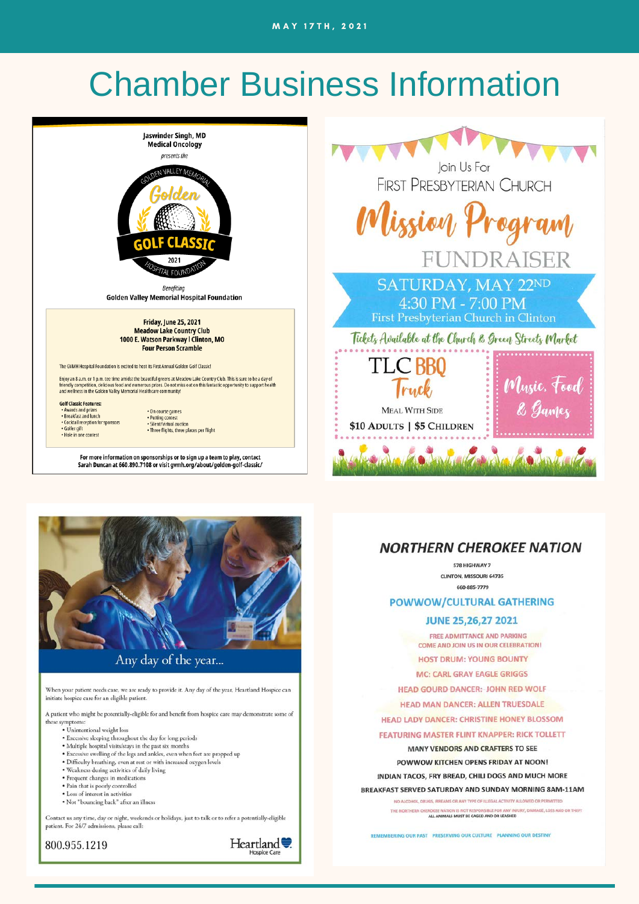### **Chamber Business Information**





Any day of the year...

When your patient needs care, we are ready to provide it. Any day of the year, Heartland Hospice can initiate hospice care for an eligible patient.

A patient who might be potentially-eligible for and benefit from hospice care may demonstrate some of these symptoms:

- · Unintentional weight loss
- 
- Excessive sleeping throughout the day for long periods<br>• Multiple hospital visits/stays in the past six months<br>• Excessive swelling of the legs and ankles, even when feet are propped up
- Difficulty breathing, even at rest or with increased oxygen levels<br>• Weakness during activities of daily living
- 
- · Frequent changes in medications
- Pain that is poorly controlled<br>• Loss of interest in activities
- 
- . Not "bouncing back" after an illness

Contact us any time, day or night, weekends or holidays, just to talk or to refer a potentially-eligible patient. For 24/7 admissions, please call:

800.955.1219



### **NORTHERN CHEROKEE NATION**

578 HIGHWAY 7 CLINTON, MISSOURI 64735 660-885-7779

#### **POWWOW/CULTURAL GATHERING**

#### **JUNE 25,26,27 2021**

FREE ADMITTANCE AND PARKING COME AND JOIN US IN OUR CELEBRATION!

**HOST DRUM: YOUNG BOUNTY** 

**MC: CARL GRAY EAGLE GRIGGS** 

**HEAD GOURD DANCER: JOHN RED WOLF** 

**HEAD MAN DANCER: ALLEN TRUESDALE** 

**HEAD LADY DANCER: CHRISTINE HONEY BLOSSOM** 

**FEATURING MASTER FLINT KNAPPER: RICK TOLLETT** 

MANY VENDORS AND CRAFTERS TO SEE

POWWOW KITCHEN OPENS FRIDAY AT NOON!

INDIAN TACOS, FRY BREAD, CHILI DOGS AND MUCH MORE

BREAKFAST SERVED SATURDAY AND SUNDAY MORNING 8AM-11AM

NO ALCOHOL, DRUGS, FIREAMS OR ANY TYPE OF ILLEGAL ACTIVITY ALLOWED OR PERMITTED

THE NORTHERN C NJURY, DAMAGE, LOSS AND OR THEFT ALL ANIMALS MUST BE CAGED AND OR LEASHED

REMEMBERING OUR PAST PRESERVING OUR CULTURE PLANNING OUR DESTINY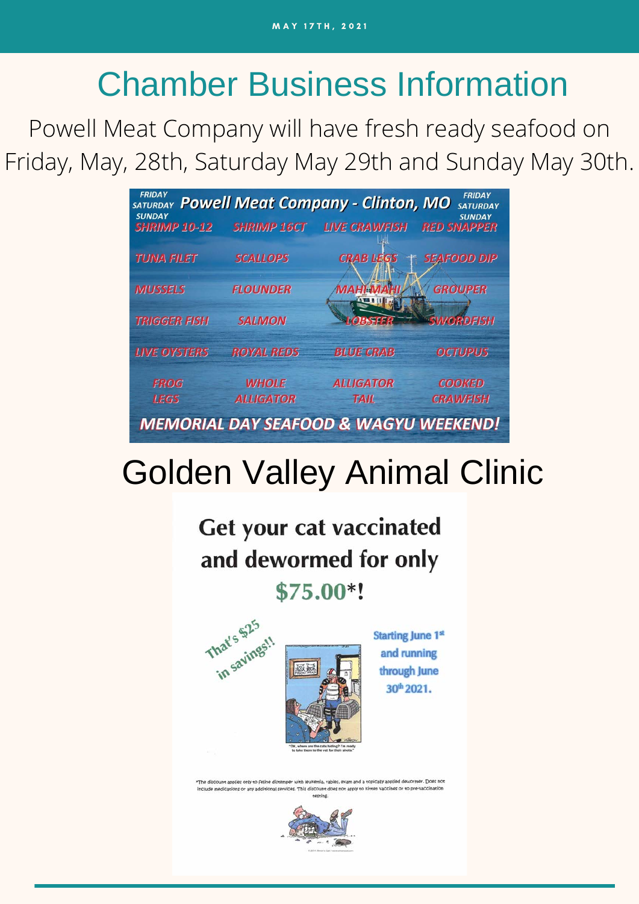# Chamber Business Information

Powell Meat Company will have fresh ready seafood on Friday, May, 28th, Saturday May 29th and Sunday May 30th.

| <b>FRIDAY</b><br><b>SUNDAY</b> |                    | SATURDAY Powell Meat Company - Clinton, MO       | <b>FRIDAY</b><br><b>SATURDAY</b><br><b>SUNDAY</b> |
|--------------------------------|--------------------|--------------------------------------------------|---------------------------------------------------|
| <b>SHRIMP 10-12</b>            | <b>SHRIMP 16CT</b> | <b>LIVE CRAWFISH</b>                             | <b>RED SNAPPER</b>                                |
| TUNA FILET                     | <b>SCALLOPS</b>    | <b>CRAB LEGS</b>                                 | <b>SEAFOOD DIP</b>                                |
| <b>MUSSELS</b>                 | <b>FLOUNDER</b>    | MAHI MAHI                                        | <b>GROUPER</b>                                    |
| <b>TRIGGER FISH</b>            | <b>SALMON</b>      | <b>MOBSFER</b>                                   | <b>SWORDFISH</b>                                  |
| <b>LIVE OYSTERS</b>            | <b>ROYAL REDS</b>  | <b>BLUE CRAB</b>                                 | <b>OCTUPUS</b>                                    |
| <b>FROG</b>                    | <b>WHOLE</b>       | <b>ALLIGATOR</b>                                 | <b>COOKED</b>                                     |
| <b>LEGS</b>                    | <b>ALLIGATOR</b>   | <b>TAIL</b>                                      | <b>CRAWFISH</b>                                   |
|                                |                    | <b>MEMORIAL DAY SEAFOOD &amp; WAGYU WEEKEND!</b> |                                                   |

# Golden Valley Animal Clinic

Get your cat vaccinated and dewormed for only \$75.00\*!



**Starting June 1st** and running through June 30<sup>th</sup> 2021.

The discount applies only to feline diste kemia, rabies, exam and a topically applied dewormer. Does no de medications or any additional services. This discount does not apply to kitten vaccines or to pre-vacci